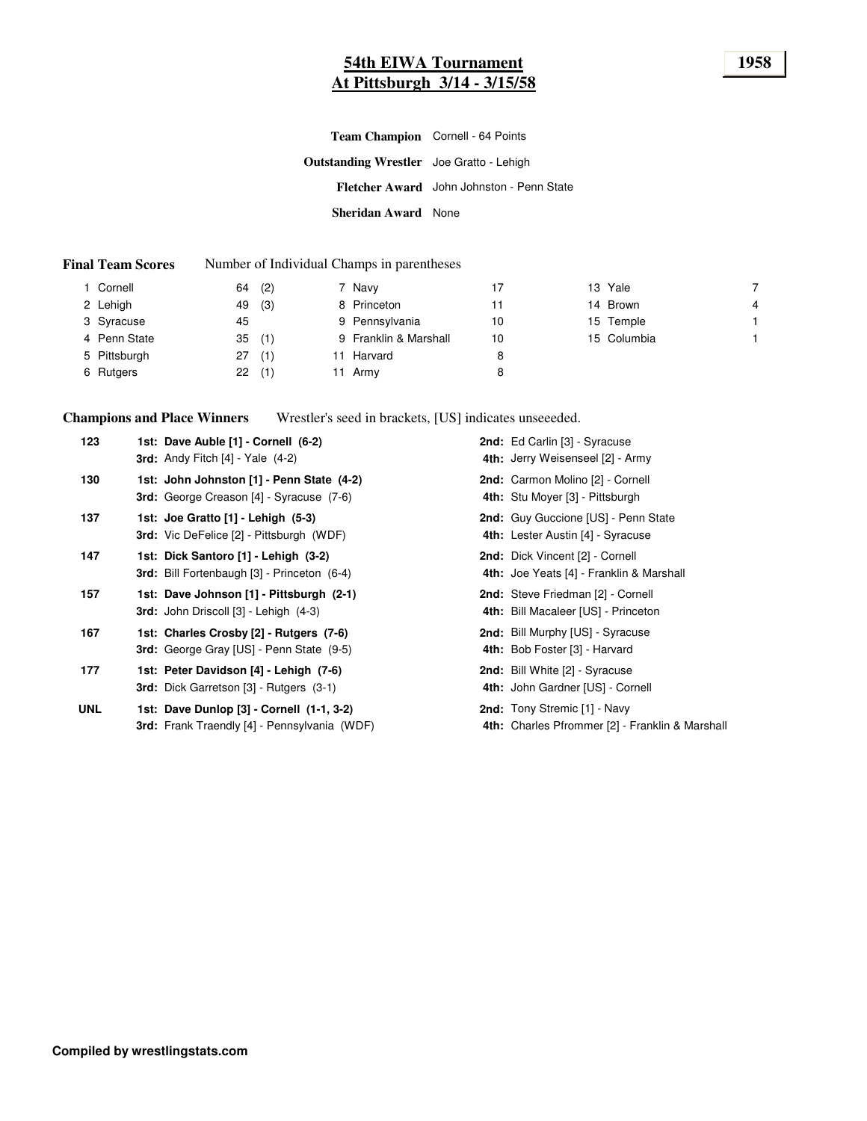# **54th EIWA Tournament 1958 At Pittsburgh 3/14 - 3/15/58**

|                                                 | Team Champion Cornell - 64 Points         |
|-------------------------------------------------|-------------------------------------------|
| <b>Outstanding Wrestler</b> Joe Gratto - Lehigh |                                           |
|                                                 | Fletcher Award John Johnston - Penn State |
| Sheridan Award None                             |                                           |

#### **Final Team Scores** Number of Individual Champs in parentheses

| Cornell      | 64 | (2) | 7 Navy                | 17 | 13 Yale     |                |
|--------------|----|-----|-----------------------|----|-------------|----------------|
| 2 Lehigh     | 49 | (3) | 8 Princeton           | 11 | 14 Brown    | $\overline{4}$ |
| 3 Syracuse   | 45 |     | 9 Pennsylvania        | 10 | 15 Temple   |                |
| 4 Penn State | 35 | (1) | 9 Franklin & Marshall | 10 | 15 Columbia |                |
| 5 Pittsburgh | 27 | (1) | Harvard               |    |             |                |
| 6 Rutgers    | 22 | (1) | 11 Army               | 8  |             |                |

**Champions and Place Winners** Wrestler's seed in brackets, [US] indicates unseeeded.

| 123        | 1st: Dave Auble [1] - Cornell (6-2)<br><b>3rd:</b> Andy Fitch $[4]$ - Yale $(4-2)$               | <b>2nd:</b> Ed Carlin [3] - Syracuse<br>4th: Jerry Weisenseel [2] - Army               |
|------------|--------------------------------------------------------------------------------------------------|----------------------------------------------------------------------------------------|
| 130        | 1st: John Johnston [1] - Penn State (4-2)<br><b>3rd:</b> George Creason [4] - Syracuse (7-6)     | 2nd: Carmon Molino [2] - Cornell<br>4th: Stu Moyer [3] - Pittsburgh                    |
| 137        | 1st: Joe Gratto [1] - Lehigh (5-3)<br><b>3rd:</b> Vic DeFelice [2] - Pittsburgh (WDF)            | <b>2nd:</b> Guy Guccione [US] - Penn State<br>4th: Lester Austin [4] - Syracuse        |
| 147        | 1st: Dick Santoro [1] - Lehigh (3-2)<br>3rd: Bill Fortenbaugh [3] - Princeton (6-4)              | 2nd: Dick Vincent [2] - Cornell<br>4th: Joe Yeats [4] - Franklin & Marshall            |
| 157        | 1st: Dave Johnson [1] - Pittsburgh (2-1)<br><b>3rd:</b> John Driscoll $[3]$ - Lehigh $(4-3)$     | 2nd: Steve Friedman [2] - Cornell<br>4th: Bill Macaleer [US] - Princeton               |
| 167        | 1st: Charles Crosby [2] - Rutgers (7-6)<br><b>3rd:</b> George Gray [US] - Penn State (9-5)       | 2nd: Bill Murphy [US] - Syracuse<br>4th: Bob Foster [3] - Harvard                      |
| 177        | 1st: Peter Davidson [4] - Lehigh (7-6)<br><b>3rd:</b> Dick Garretson [3] - Rutgers (3-1)         | <b>2nd:</b> Bill White [2] - Syracuse<br>4th: John Gardner [US] - Cornell              |
| <b>UNL</b> | 1st: Dave Dunlop [3] - Cornell (1-1, 3-2)<br><b>3rd:</b> Frank Traendly [4] - Pennsylvania (WDF) | <b>2nd:</b> Tony Stremic [1] - Navy<br>4th: Charles Pfrommer [2] - Franklin & Marshall |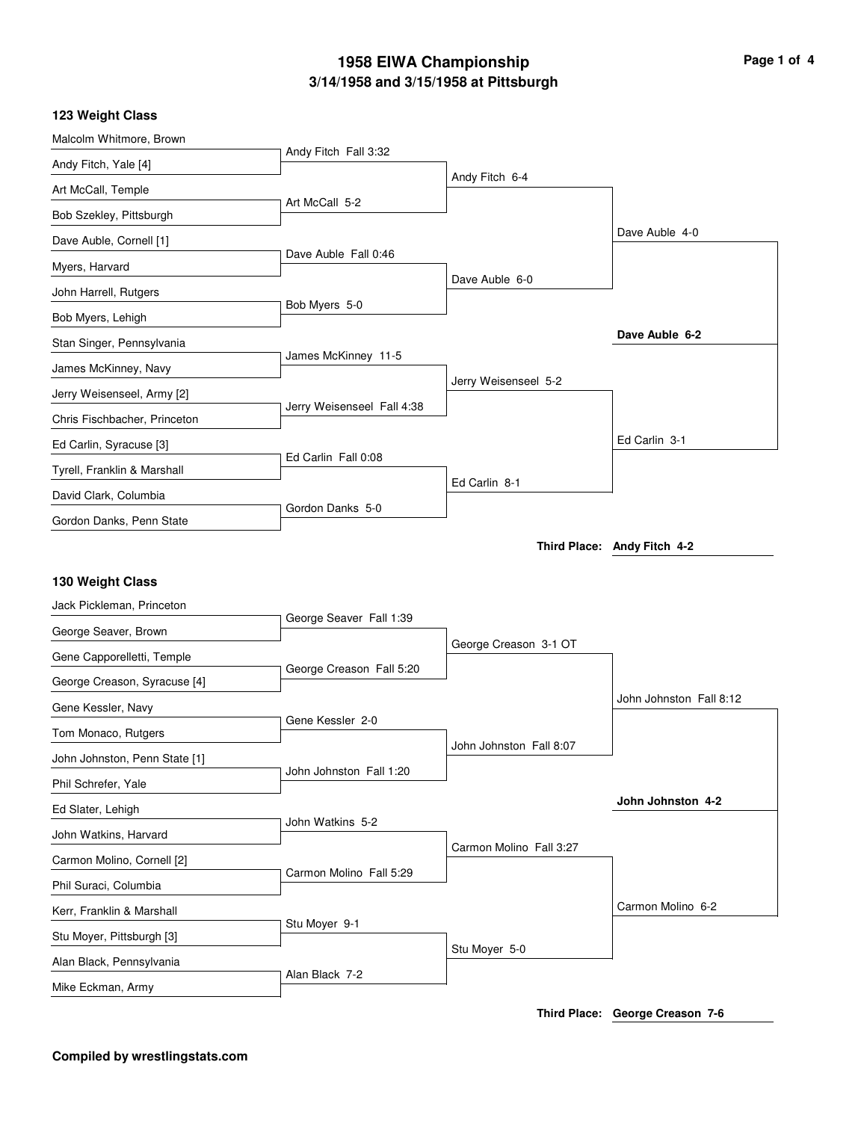# **3/14/1958 and 3/15/1958 at Pittsburgh 1958 EIWA Championship Page 1 of 4**

## **123 Weight Class**

| Malcolm Whitmore, Brown       |                            |                         |                             |
|-------------------------------|----------------------------|-------------------------|-----------------------------|
| Andy Fitch, Yale [4]          | Andy Fitch Fall 3:32       |                         |                             |
| Art McCall, Temple            |                            | Andy Fitch 6-4          |                             |
| Bob Szekley, Pittsburgh       | Art McCall 5-2             |                         |                             |
| Dave Auble, Cornell [1]       |                            |                         | Dave Auble 4-0              |
| Myers, Harvard                | Dave Auble Fall 0:46       |                         |                             |
| John Harrell, Rutgers         |                            | Dave Auble 6-0          |                             |
| Bob Myers, Lehigh             | Bob Myers 5-0              |                         |                             |
| Stan Singer, Pennsylvania     |                            |                         | Dave Auble 6-2              |
| James McKinney, Navy          | James McKinney 11-5        |                         |                             |
| Jerry Weisenseel, Army [2]    |                            | Jerry Weisenseel 5-2    |                             |
| Chris Fischbacher, Princeton  | Jerry Weisenseel Fall 4:38 |                         |                             |
| Ed Carlin, Syracuse [3]       |                            |                         | Ed Carlin 3-1               |
| Tyrell, Franklin & Marshall   | Ed Carlin Fall 0:08        |                         |                             |
| David Clark, Columbia         |                            | Ed Carlin 8-1           |                             |
| Gordon Danks, Penn State      | Gordon Danks 5-0           |                         |                             |
|                               |                            |                         | Third Place: Andy Fitch 4-2 |
|                               |                            |                         |                             |
|                               |                            |                         |                             |
| 130 Weight Class              |                            |                         |                             |
| Jack Pickleman, Princeton     | George Seaver Fall 1:39    |                         |                             |
| George Seaver, Brown          |                            |                         |                             |
| Gene Capporelletti, Temple    |                            | George Creason 3-1 OT   |                             |
| George Creason, Syracuse [4]  | George Creason Fall 5:20   |                         |                             |
| Gene Kessler, Navy            |                            |                         | John Johnston Fall 8:12     |
| Tom Monaco, Rutgers           | Gene Kessler 2-0           |                         |                             |
| John Johnston, Penn State [1] |                            | John Johnston Fall 8:07 |                             |
| Phil Schrefer, Yale           | John Johnston Fall 1:20    |                         |                             |
| Ed Slater, Lehigh             |                            |                         | John Johnston 4-2           |
| John Watkins, Harvard         | John Watkins 5-2           |                         |                             |
| Carmon Molino, Cornell [2]    |                            | Carmon Molino Fall 3:27 |                             |
| Phil Suraci, Columbia         | Carmon Molino Fall 5:29    |                         |                             |
| Kerr, Franklin & Marshall     |                            |                         | Carmon Molino 6-2           |
| Stu Moyer, Pittsburgh [3]     | Stu Moyer 9-1              |                         |                             |
| Alan Black, Pennsylvania      | Alan Black 7-2             | Stu Moyer 5-0           |                             |

**Third Place: George Creason 7-6**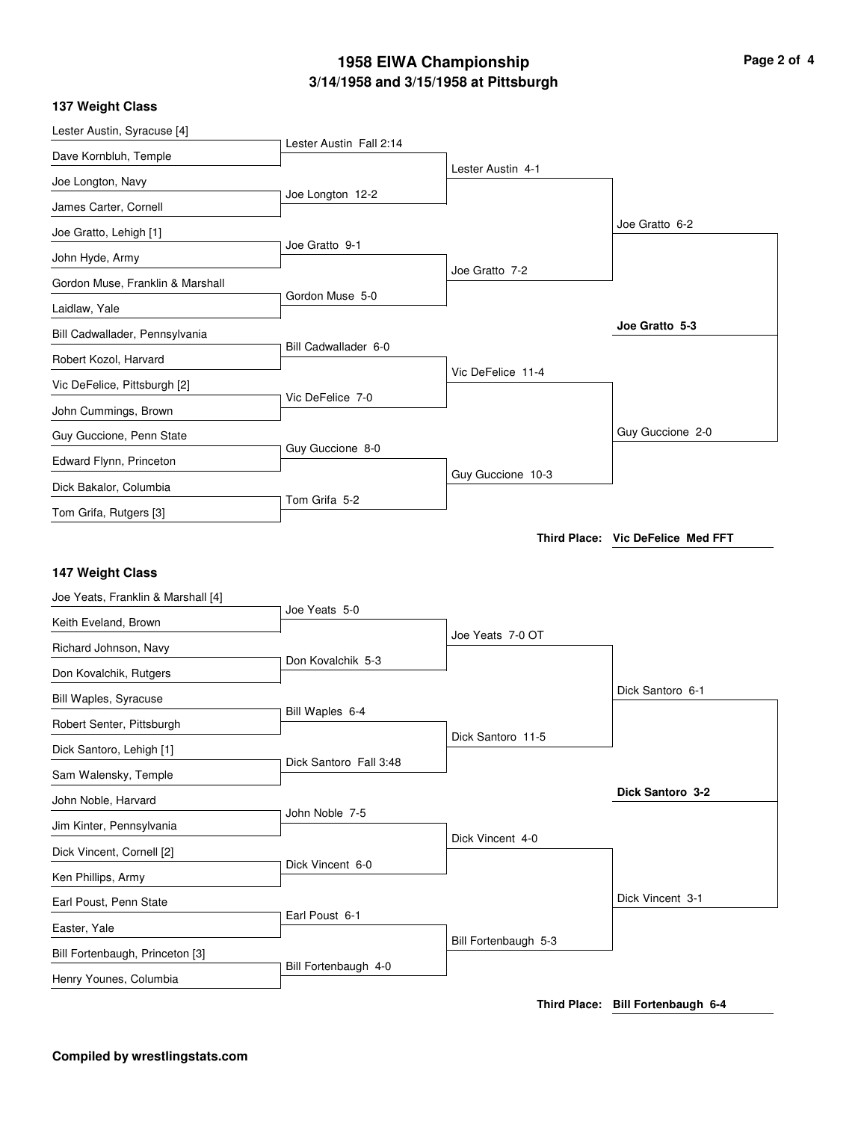# **3/14/1958 and 3/15/1958 at Pittsburgh 1958 EIWA Championship Page 2 of 4**

### **137 Weight Class**

| Lester Austin, Syracuse [4]        |                         |                      |                                   |
|------------------------------------|-------------------------|----------------------|-----------------------------------|
| Dave Kornbluh, Temple              | Lester Austin Fall 2:14 |                      |                                   |
| Joe Longton, Navy                  |                         | Lester Austin 4-1    |                                   |
| James Carter, Cornell              | Joe Longton 12-2        |                      |                                   |
| Joe Gratto, Lehigh [1]             |                         |                      | Joe Gratto 6-2                    |
| John Hyde, Army                    | Joe Gratto 9-1          |                      |                                   |
| Gordon Muse, Franklin & Marshall   |                         | Joe Gratto 7-2       |                                   |
| Laidlaw, Yale                      | Gordon Muse 5-0         |                      |                                   |
| Bill Cadwallader, Pennsylvania     |                         |                      | Joe Gratto 5-3                    |
| Robert Kozol, Harvard              | Bill Cadwallader 6-0    |                      |                                   |
| Vic DeFelice, Pittsburgh [2]       |                         | Vic DeFelice 11-4    |                                   |
| John Cummings, Brown               | Vic DeFelice 7-0        |                      |                                   |
| Guy Guccione, Penn State           |                         |                      | Guy Guccione 2-0                  |
| Edward Flynn, Princeton            | Guy Guccione 8-0        |                      |                                   |
| Dick Bakalor, Columbia             |                         | Guy Guccione 10-3    |                                   |
| Tom Grifa, Rutgers [3]             | Tom Grifa 5-2           |                      |                                   |
|                                    |                         |                      | Third Place: Vic DeFelice Med FFT |
|                                    |                         |                      |                                   |
| 147 Weight Class                   |                         |                      |                                   |
| Joe Yeats, Franklin & Marshall [4] | Joe Yeats 5-0           |                      |                                   |
| Keith Eveland, Brown               |                         | Joe Yeats 7-0 OT     |                                   |
| Richard Johnson, Navy              | Don Kovalchik 5-3       |                      |                                   |
| Don Kovalchik, Rutgers             |                         |                      | Dick Santoro 6-1                  |
| Bill Waples, Syracuse              | Bill Waples 6-4         |                      |                                   |
| Robert Senter, Pittsburgh          |                         | Dick Santoro 11-5    |                                   |
| Dick Santoro, Lehigh [1]           | Dick Santoro Fall 3:48  |                      |                                   |
| Sam Walensky, Temple               |                         |                      | Dick Santoro 3-2                  |
| John Noble, Harvard                | John Noble 7-5          |                      |                                   |
| Jim Kinter, Pennsylvania           |                         | Dick Vincent 4-0     |                                   |
| Dick Vincent, Cornell [2]          | Dick Vincent 6-0        |                      |                                   |
|                                    |                         |                      |                                   |
| Ken Phillips, Army                 |                         |                      |                                   |
| Earl Poust, Penn State             |                         |                      | Dick Vincent 3-1                  |
| Easter, Yale                       | Earl Poust 6-1          |                      |                                   |
| Bill Fortenbaugh, Princeton [3]    |                         | Bill Fortenbaugh 5-3 |                                   |
| Henry Younes, Columbia             | Bill Fortenbaugh 4-0    |                      |                                   |

**Third Place: Bill Fortenbaugh 6-4**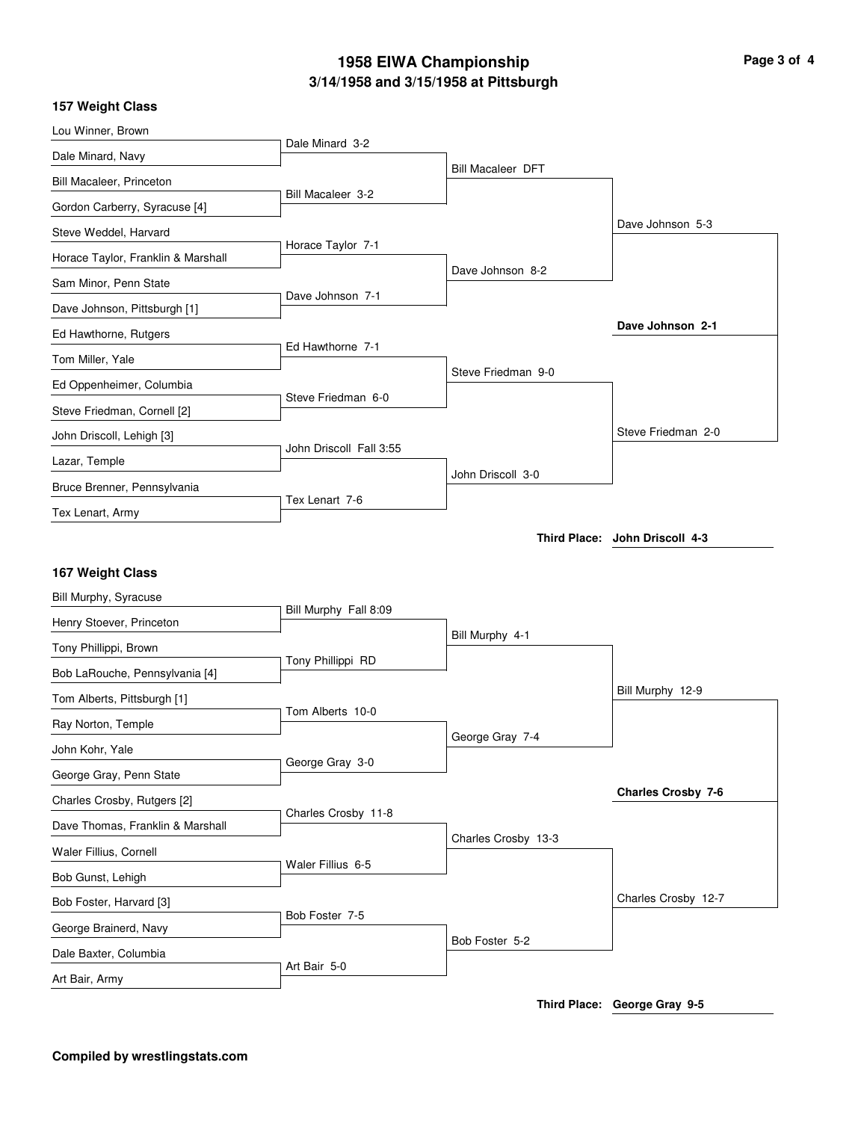# **3/14/1958 and 3/15/1958 at Pittsburgh 1958 EIWA Championship Page 3 of 4**

### **157 Weight Class**

| Lou Winner, Brown                  |                         |                          |                                |
|------------------------------------|-------------------------|--------------------------|--------------------------------|
| Dale Minard, Navy                  | Dale Minard 3-2         |                          |                                |
| Bill Macaleer, Princeton           |                         | <b>Bill Macaleer DFT</b> |                                |
| Gordon Carberry, Syracuse [4]      | Bill Macaleer 3-2       |                          |                                |
| Steve Weddel, Harvard              |                         |                          | Dave Johnson 5-3               |
| Horace Taylor, Franklin & Marshall | Horace Taylor 7-1       |                          |                                |
| Sam Minor, Penn State              |                         | Dave Johnson 8-2         |                                |
| Dave Johnson, Pittsburgh [1]       | Dave Johnson 7-1        |                          |                                |
| Ed Hawthorne, Rutgers              |                         |                          | Dave Johnson 2-1               |
| Tom Miller, Yale                   | Ed Hawthorne 7-1        |                          |                                |
| Ed Oppenheimer, Columbia           |                         | Steve Friedman 9-0       |                                |
| Steve Friedman, Cornell [2]        | Steve Friedman 6-0      |                          |                                |
| John Driscoll, Lehigh [3]          |                         |                          | Steve Friedman 2-0             |
| Lazar, Temple                      | John Driscoll Fall 3:55 |                          |                                |
| Bruce Brenner, Pennsylvania        |                         | John Driscoll 3-0        |                                |
| Tex Lenart, Army                   | Tex Lenart 7-6          |                          |                                |
|                                    |                         |                          | Third Place: John Driscoll 4-3 |
|                                    |                         |                          |                                |
| 167 Weight Class                   |                         |                          |                                |
| Bill Murphy, Syracuse              | Bill Murphy Fall 8:09   |                          |                                |
| Henry Stoever, Princeton           |                         | Bill Murphy 4-1          |                                |
| Tony Phillippi, Brown              | Tony Phillippi RD       |                          |                                |
| Bob LaRouche, Pennsylvania [4]     |                         |                          | Bill Murphy 12-9               |
| Tom Alberts, Pittsburgh [1]        | Tom Alberts 10-0        |                          |                                |
| Ray Norton, Temple                 |                         | George Gray 7-4          |                                |
| John Kohr, Yale                    | George Gray 3-0         |                          |                                |
| George Gray, Penn State            |                         |                          | <b>Charles Crosby 7-6</b>      |
| Charles Crosby, Rutgers [2]        | Charles Crosby 11-8     |                          |                                |
| Dave Thomas, Franklin & Marshall   |                         | Charles Crosby 13-3      |                                |
| Waler Fillius, Cornell             | Waler Fillius 6-5       |                          |                                |
| Bob Gunst, Lehigh                  |                         |                          |                                |
| Bob Foster, Harvard [3]            | Bob Foster 7-5          |                          | Charles Crosby 12-7            |
| George Brainerd, Navy              |                         |                          |                                |
| Dale Baxter, Columbia              |                         | Bob Foster 5-2           |                                |
| Art Bair, Army                     | Art Bair 5-0            |                          |                                |
|                                    |                         |                          | Third Place: George Gray 9-5   |